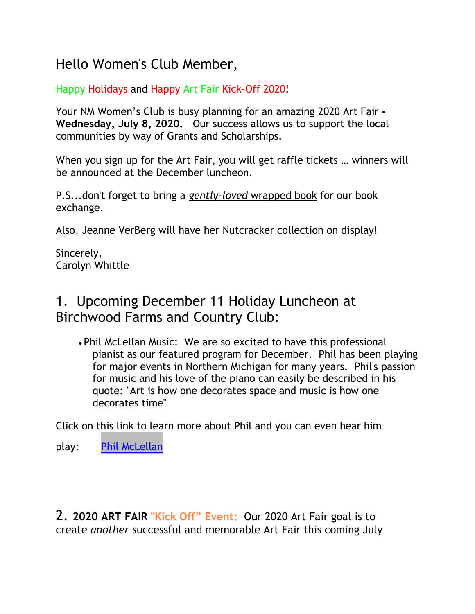# Hello Women's Club Member,

#### Happy Holidays and Happy Art Fair Kick-Off 2020!

Your NM Women's Club is busy planning for an amazing 2020 Art Fair **- Wednesday, July 8, 2020.** Our success allows us to support the local communities by way of Grants and Scholarships.

When you sign up for the Art Fair, you will get raffle tickets … winners will be announced at the December luncheon.

P.S...don't forget to bring a *gently-loved* wrapped book for our book exchange.

Also, Jeanne VerBerg will have her Nutcracker collection on display!

Sincerely, Carolyn Whittle

## 1. Upcoming December 11 Holiday Luncheon at Birchwood Farms and Country Club:

• Phil McLellan Music: We are so excited to have this professional pianist as our featured program for December. Phil has been playing for major events in Northern Michigan for many years. Phil's passion for music and his love of the piano can easily be described in his quote: "Art is how one decorates space and music is how one decorates time"

Click on this link to learn more about Phil and you can even hear him

play: [Phil McLellan](https://www.phillipmclellanmusic.com/)

2. **2020 ART FAIR "Kick Off" Event:** Our 2020 Art Fair goal is to create *another* successful and memorable Art Fair this coming July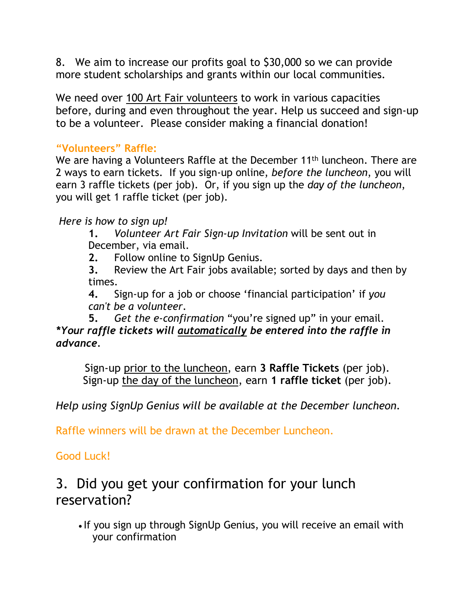8. We aim to increase our profits goal to \$30,000 so we can provide more student scholarships and grants within our local communities.

We need over 100 Art Fair volunteers to work in various capacities before, during and even throughout the year. Help us succeed and sign-up to be a volunteer. Please consider making a financial donation!

#### **"Volunteers" Raffle:**

We are having a Volunteers Raffle at the December 11<sup>th</sup> luncheon. There are 2 ways to earn tickets. If you sign-up online, *before the luncheon*, you will earn 3 raffle tickets (per job). Or, if you sign up the *day of the luncheon*, you will get 1 raffle ticket (per job).

#### *Here is how to sign up!*

**1.** *Volunteer Art Fair Sign-up Invitation* will be sent out in December, via email.

**2.** Follow online to SignUp Genius.

**3.** Review the Art Fair jobs available; sorted by days and then by times.

**4.** Sign-up for a job or choose 'financial participation' if *you can't be a volunteer*.

**5.** *Get the e-confirmation* "you're signed up" in your email. *\*Your raffle tickets will automatically be entered into the raffle in advance.* 

Sign-up prior to the luncheon, earn **3 Raffle Tickets** (per job). Sign-up the day of the luncheon, earn **1 raffle ticket** (per job).

*Help using SignUp Genius will be available at the December luncheon.*

Raffle winners will be drawn at the December Luncheon.

#### Good Luck!

### 3. Did you get your confirmation for your lunch reservation?

• If you sign up through SignUp Genius, you will receive an email with your confirmation